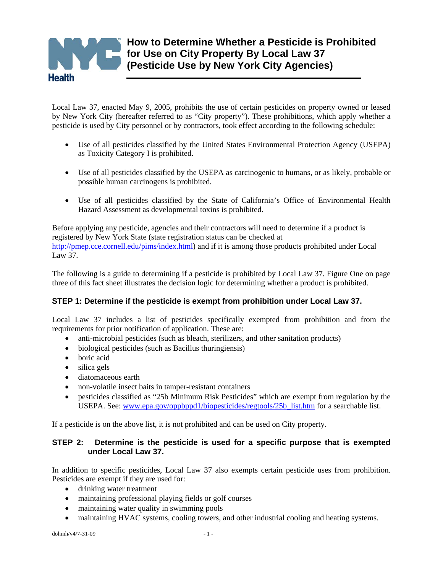

Local Law 37, enacted May 9, 2005, prohibits the use of certain pesticides on property owned or leased by New York City (hereafter referred to as "City property"). These prohibitions, which apply whether a pesticide is used by City personnel or by contractors, took effect according to the following schedule:

- Use of all pesticides classified by the United States Environmental Protection Agency (USEPA) as Toxicity Category I is prohibited.
- Use of all pesticides classified by the USEPA as carcinogenic to humans, or as likely, probable or possible human carcinogens is prohibited.
- Use of all pesticides classified by the State of California's Office of Environmental Health Hazard Assessment as developmental toxins is prohibited.

Before applying any pesticide, agencies and their contractors will need to determine if a product is registered by New York State (state registration status can be checked at [http://pmep.cce.cornell.edu/pims/index.html\)](http://pmep.cce.cornell.edu/pims/index.html) and if it is among those products prohibited under Local Law 37.

The following is a guide to determining if a pesticide is prohibited by Local Law 37. Figure One on page three of this fact sheet illustrates the decision logic for determining whether a product is prohibited.

# **STEP 1: Determine if the pesticide is exempt from prohibition under Local Law 37.**

Local Law 37 includes a list of pesticides specifically exempted from prohibition and from the requirements for prior notification of application. These are:

- anti-microbial pesticides (such as bleach, sterilizers, and other sanitation products)
- biological pesticides (such as Bacillus thuringiensis)
- boric acid
- silica gels
- diatomaceous earth
- non-volatile insect baits in tamper-resistant containers
- pesticides classified as "25b Minimum Risk Pesticides" which are exempt from regulation by the USEPA. See: [www.epa.gov/oppbppd1/biopesticides/regtools/25b\\_list.htm](http://www.epa.gov/oppbppd1/biopesticides/regtools/25b_list.htm) for a searchable list.

If a pesticide is on the above list, it is not prohibited and can be used on City property.

## **STEP 2: Determine is the pesticide is used for a specific purpose that is exempted under Local Law 37.**

In addition to specific pesticides, Local Law 37 also exempts certain pesticide uses from prohibition. Pesticides are exempt if they are used for:

- drinking water treatment
- maintaining professional playing fields or golf courses
- maintaining water quality in swimming pools
- maintaining HVAC systems, cooling towers, and other industrial cooling and heating systems.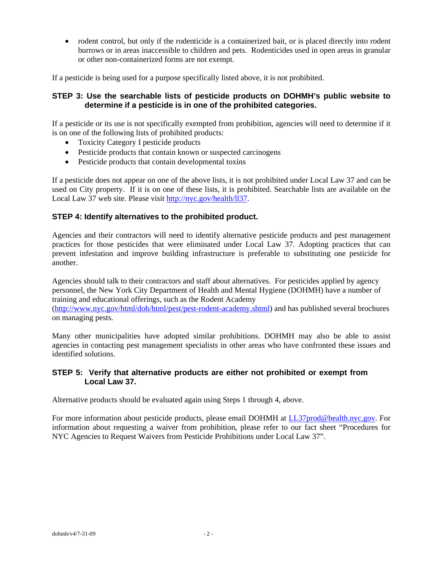• rodent control, but only if the rodenticide is a containerized bait, or is placed directly into rodent burrows or in areas inaccessible to children and pets. Rodenticides used in open areas in granular or other non-containerized forms are not exempt.

If a pesticide is being used for a purpose specifically listed above, it is not prohibited.

## **STEP 3: Use the searchable lists of pesticide products on DOHMH's public website to determine if a pesticide is in one of the prohibited categories.**

If a pesticide or its use is not specifically exempted from prohibition, agencies will need to determine if it is on one of the following lists of prohibited products:

- Toxicity Category I pesticide products
- Pesticide products that contain known or suspected carcinogens
- Pesticide products that contain developmental toxins

If a pesticide does not appear on one of the above lists, it is not prohibited under Local Law 37 and can be used on City property. If it is on one of these lists, it is prohibited. Searchable lists are available on the Local Law 37 web site. Please visit [http://nyc.gov/health/ll37.](http://nyc.gov/health/ll37)

### **STEP 4: Identify alternatives to the prohibited product.**

Agencies and their contractors will need to identify alternative pesticide products and pest management practices for those pesticides that were eliminated under Local Law 37. Adopting practices that can prevent infestation and improve building infrastructure is preferable to substituting one pesticide for another.

Agencies should talk to their contractors and staff about alternatives. For pesticides applied by agency personnel, the New York City Department of Health and Mental Hygiene (DOHMH) have a number of training and educational offerings, such as the Rodent Academy

([http://www.nyc.gov/html/doh/html/pest/pest-rodent-academy.shtml\)](http://www.nyc.gov/html/doh/html/pest/pest-rodent-academy.shtml) and has published several brochures on managing pests.

Many other municipalities have adopted similar prohibitions. DOHMH may also be able to assist agencies in contacting pest management specialists in other areas who have confronted these issues and identified solutions.

### **STEP 5: Verify that alternative products are either not prohibited or exempt from Local Law 37.**

Alternative products should be evaluated again using Steps 1 through 4, above.

For more information about pesticide products, please email DOHMH at [LL37prod@health.nyc.gov.](mailto:LL37prod@health.nyc.gov) For information about requesting a waiver from prohibition, please refer to our fact sheet "Procedures for NYC Agencies to Request Waivers from Pesticide Prohibitions under Local Law 37".